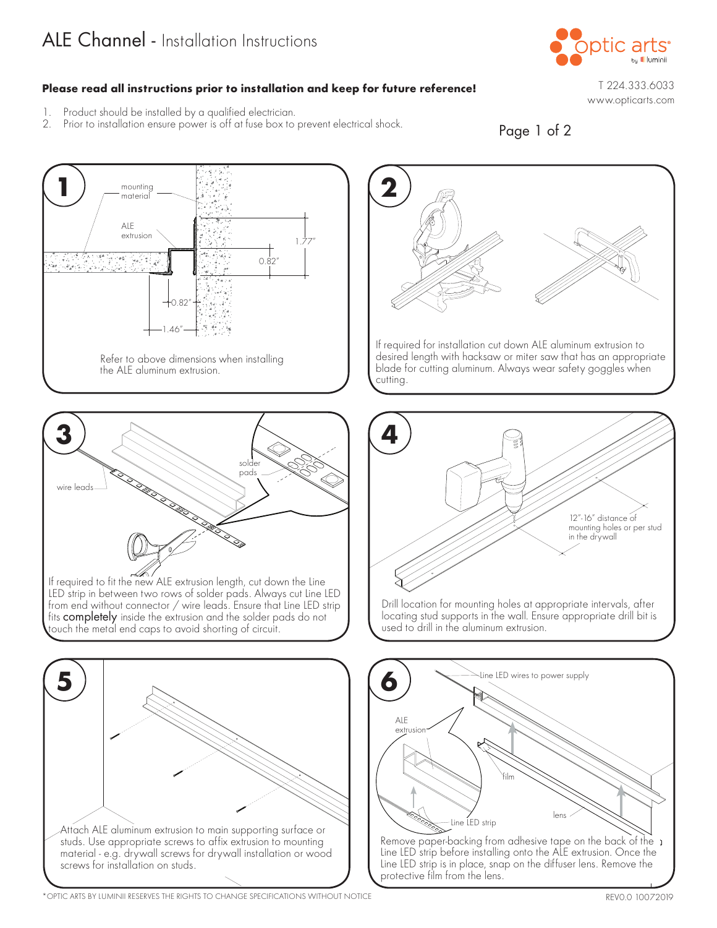## ALE Channel - Installation Instructions



## **Please read all instructions prior to installation and keep for future reference!**

1.77"

0.82"

 $+0.82$ 

1.46"

the ALE aluminum extrusion.

Refer to above dimensions when installing

mounting material

ALE extrusion

 $\frac{1}{2}$  ,  $\frac{1}{2}$  ,  $\frac{1}{2}$ 963

يتأبعونك

1. Product should be installed by a qualified electrician. Prior to installation ensure power is off at fuse box to prevent electrical shock.

**1**  $\left( 2 \right)$ 

T 224.333.6033 www.opticarts.com



If required for installation cut down ALE aluminum extrusion to desired length with hacksaw or miter saw that has an appropriate blade for cutting aluminum. Always wear safety goggles when cutting.



If required to fit the new ALE extrusion length, cut down the Line LED strip in between two rows of solder pads. Always cut Line LED from end without connector / wire leads. Ensure that Line LED strip fits completely inside the extrusion and the solder pads do not touch the metal end caps to avoid shorting of circuit.





locating stud supports in the wall. Ensure appropriate drill bit is used to drill in the aluminum extrusion.



Remove paper-backing from adhesive tape on the back of the  $\cdot$ Line LED strip before installing onto the ALE extrusion. Once the Line LED strip is in place, snap on the diffuser lens. Remove the protective film from the lens.